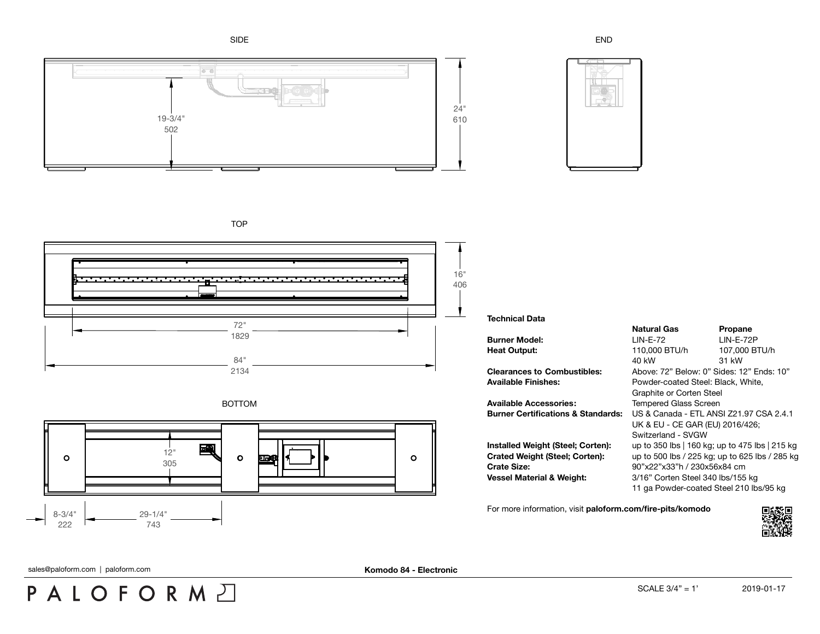SIDE







**TOP** 







## **Technical Data**

**Available Accessories:** Tempered Glass Screen

**Crate Size:** 90"x22"x33"h / 230x56x84 cm

**Natural Gas Propane Burner Model:** LIN-E-72 LIN-E-72P **Heat Output:** 110,000 BTU/h 107,000 BTU/h 40 kW 31 kW **Clearances to Combustibles:** Above: 72" Below: 0" Sides: 12" Ends: 10" **Available Finishes:** Powder-coated Steel: Black, White, Graphite or Corten Steel **Burner Certifications & Standards:** US & Canada - ETL ANSI Z21.97 CSA 2.4.1 UK & EU - CE GAR (EU) 2016/426; Switzerland - SVGW **Installed Weight (Steel; Corten):** up to 350 lbs | 160 kg; up to 475 lbs | 215 kg **Crated Weight (Steel; Corten):** up to 500 lbs / 225 kg; up to 625 lbs / 285 kg **Vessel Material & Weight:** 3/16" Corten Steel 340 lbs/155 kg 11 ga Powder-coated Steel 210 lbs/95 kg

For more information, visit **[paloform.com/fire-pits/komodo](http://paloform.com/fire-pits/komodo)**



sales@paloform.com | paloform.com **With and Constantine Constantine Constantine Constantine Constantine Constantine Constantine Constantine Constantine Constantine Constantine Constantine Constantine Constantine Constantin**